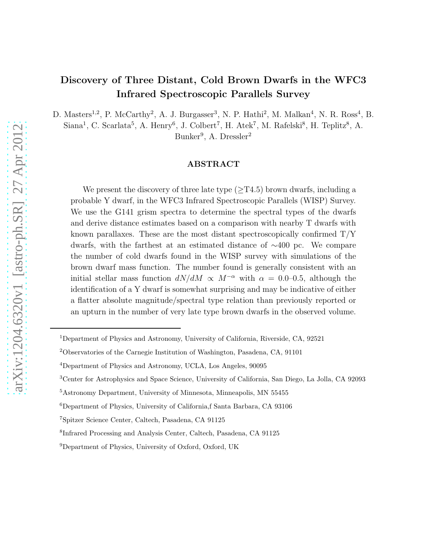# Discovery of Three Distant, Cold Brown Dwarfs in the WFC3 Infrared Spectroscopic Parallels Survey

D. Masters<sup>1,2</sup>, P. McCarthy<sup>2</sup>, A. J. Burgasser<sup>3</sup>, N. P. Hathi<sup>2</sup>, M. Malkan<sup>4</sup>, N. R. Ross<sup>4</sup>, B.

Siana<sup>1</sup>, C. Scarlata<sup>5</sup>, A. Henry<sup>6</sup>, J. Colbert<sup>7</sup>, H. Atek<sup>7</sup>, M. Rafelski<sup>8</sup>, H. Teplitz<sup>8</sup>, A.

Bunker<sup>9</sup>, A. Dressler<sup>2</sup>

#### ABSTRACT

We present the discovery of three late type  $(\geq T4.5)$  brown dwarfs, including a probable Y dwarf, in the WFC3 Infrared Spectroscopic Parallels (WISP) Survey. We use the G141 grism spectra to determine the spectral types of the dwarfs and derive distance estimates based on a comparison with nearby T dwarfs with known parallaxes. These are the most distant spectroscopically confirmed  $T/Y$ dwarfs, with the farthest at an estimated distance of ∼400 pc. We compare the number of cold dwarfs found in the WISP survey with simulations of the brown dwarf mass function. The number found is generally consistent with an initial stellar mass function  $dN/dM \propto M^{-\alpha}$  with  $\alpha = 0.0-0.5$ , although the identification of a Y dwarf is somewhat surprising and may be indicative of either a flatter absolute magnitude/spectral type relation than previously reported or an upturn in the number of very late type brown dwarfs in the observed volume.

<sup>&</sup>lt;sup>1</sup>Department of Physics and Astronomy, University of California, Riverside, CA, 92521

<sup>2</sup>Observatories of the Carnegie Institution of Washington, Pasadena, CA, 91101

<sup>4</sup>Department of Physics and Astronomy, UCLA, Los Angeles, 90095

<sup>3</sup>Center for Astrophysics and Space Science, University of California, San Diego, La Jolla, CA 92093

<sup>5</sup>Astronomy Department, University of Minnesota, Minneapolis, MN 55455

 $^6$ Department of Physics, University of California,<br/>f Santa Barbara, CA 93106

<sup>7</sup>Spitzer Science Center, Caltech, Pasadena, CA 91125

<sup>8</sup> Infrared Processing and Analysis Center, Caltech, Pasadena, CA 91125

<sup>9</sup>Department of Physics, University of Oxford, Oxford, UK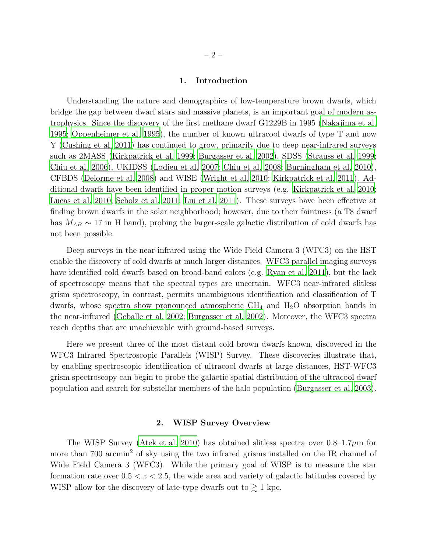# 1. Introduction

Understanding the nature and demographics of low-temperature brown dwarfs, which bridge the gap between dwarf stars and massive planets, is an important goal of modern astrophysics. Since the discovery of the first methane dwarf G1229B in 1995 [\(Nakajima et al.](#page-8-0) [1995;](#page-8-0) [Oppenheimer et al. 1995](#page-8-1)), the number of known ultracool dwarfs of type T and now Y [\(Cushing et al. 2011](#page-8-2)) has continued to grow, primarily due to deep near-infrared surveys such as 2MASS [\(Kirkpatrick et al. 1999](#page-8-3); [Burgasser et al. 2002\)](#page-7-0), SDSS [\(Strauss et al. 1999;](#page-9-0) [Chiu et al. 2006\)](#page-8-4), UKIDSS [\(Lodieu et al. 2007;](#page-8-5) [Chiu et al. 2008](#page-8-6); [Burningham et al. 2010](#page-7-1)), CFBDS [\(Delorme et al. 2008\)](#page-8-7) and WISE [\(Wright et al. 2010;](#page-9-1) [Kirkpatrick et al. 2011\)](#page-8-8). Additional dwarfs have been identified in proper motion surveys (e.g. [Kirkpatrick et al. 2010;](#page-8-9) [Lucas et al. 2010](#page-8-10); [Scholz et al. 2011](#page-9-2); [Liu et al. 2011\)](#page-8-11). These surveys have been effective at finding brown dwarfs in the solar neighborhood; however, due to their faintness (a T8 dwarf has  $M_{AB} \sim 17$  in H band), probing the larger-scale galactic distribution of cold dwarfs has not been possible.

Deep surveys in the near-infrared using the Wide Field Camera 3 (WFC3) on the HST enable the discovery of cold dwarfs at much larger distances. WFC3 parallel imaging surveys have identified cold dwarfs based on broad-band colors (e.g. [Ryan et al. 2011\)](#page-9-3), but the lack of spectroscopy means that the spectral types are uncertain. WFC3 near-infrared slitless grism spectroscopy, in contrast, permits unambiguous identification and classification of T dwarfs, whose spectra show pronounced atmospheric  $\text{CH}_4$  and  $\text{H}_2\text{O}$  absorption bands in the near-infrared [\(Geballe et al. 2002;](#page-8-12) [Burgasser et al. 2002](#page-7-0)). Moreover, the WFC3 spectra reach depths that are unachievable with ground-based surveys.

Here we present three of the most distant cold brown dwarfs known, discovered in the WFC3 Infrared Spectroscopic Parallels (WISP) Survey. These discoveries illustrate that, by enabling spectroscopic identification of ultracool dwarfs at large distances, HST-WFC3 grism spectroscopy can begin to probe the galactic spatial distribution of the ultracool dwarf population and search for substellar members of the halo population [\(Burgasser et al. 2003](#page-7-2)).

# 2. WISP Survey Overview

The WISP Survey [\(Atek et al. 2010\)](#page-7-3) has obtained slitless spectra over  $0.8-1.7\mu m$  for more than 700 arcmin<sup>2</sup> of sky using the two infrared grisms installed on the IR channel of Wide Field Camera 3 (WFC3). While the primary goal of WISP is to measure the star formation rate over  $0.5 < z < 2.5$ , the wide area and variety of galactic latitudes covered by WISP allow for the discovery of late-type dwarfs out to  $\gtrsim 1$  kpc.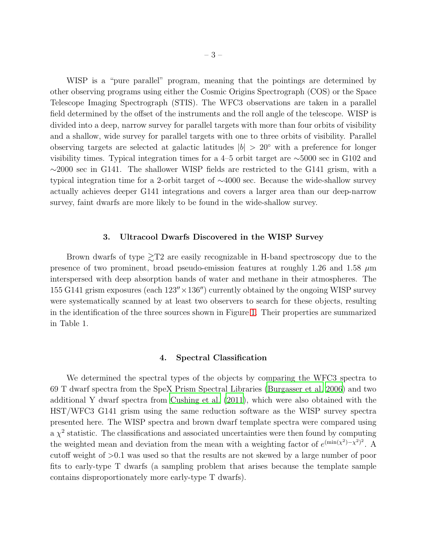WISP is a "pure parallel" program, meaning that the pointings are determined by other observing programs using either the Cosmic Origins Spectrograph (COS) or the Space Telescope Imaging Spectrograph (STIS). The WFC3 observations are taken in a parallel field determined by the offset of the instruments and the roll angle of the telescope. WISP is divided into a deep, narrow survey for parallel targets with more than four orbits of visibility and a shallow, wide survey for parallel targets with one to three orbits of visibility. Parallel observing targets are selected at galactic latitudes  $|b| > 20°$  with a preference for longer visibility times. Typical integration times for a 4–5 orbit target are ∼5000 sec in G102 and  $\sim$ 2000 sec in G141. The shallower WISP fields are restricted to the G141 grism, with a typical integration time for a 2-orbit target of ∼4000 sec. Because the wide-shallow survey actually achieves deeper G141 integrations and covers a larger area than our deep-narrow survey, faint dwarfs are more likely to be found in the wide-shallow survey.

#### 3. Ultracool Dwarfs Discovered in the WISP Survey

Brown dwarfs of type  $\geq T2$  are easily recognizable in H-band spectroscopy due to the presence of two prominent, broad pseudo-emission features at roughly 1.26 and 1.58  $\mu$ m interspersed with deep absorption bands of water and methane in their atmospheres. The 155 G141 grism exposures (each  $123'' \times 136''$ ) currently obtained by the ongoing WISP survey were systematically scanned by at least two observers to search for these objects, resulting in the identification of the three sources shown in Figure [1.](#page-6-0) Their properties are summarized in Table 1.

### 4. Spectral Classification

We determined the spectral types of the objects by comparing the WFC3 spectra to 69 T dwarf spectra from the SpeX Prism Spectral Libraries [\(Burgasser et al. 2006\)](#page-7-4) and two additional Y dwarf spectra from [Cushing et al. \(2011\)](#page-8-2), which were also obtained with the HST/WFC3 G141 grism using the same reduction software as the WISP survey spectra presented here. The WISP spectra and brown dwarf template spectra were compared using a  $\chi^2$  statistic. The classifications and associated uncertainties were then found by computing the weighted mean and deviation from the mean with a weighting factor of  $e^{(\min(x^2)-x^2)^2}$ . A cutoff weight of >0.1 was used so that the results are not skewed by a large number of poor fits to early-type T dwarfs (a sampling problem that arises because the template sample contains disproportionately more early-type T dwarfs).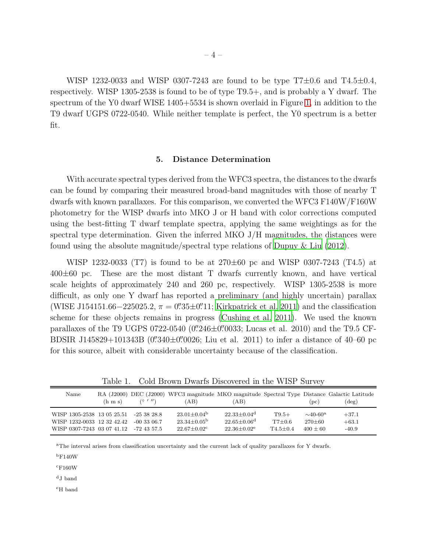WISP 1232-0033 and WISP 0307-7243 are found to be type  $T7\pm0.6$  and  $T4.5\pm0.4$ , respectively. WISP 1305-2538 is found to be of type T9.5+, and is probably a Y dwarf. The spectrum of the Y0 dwarf WISE 1405+5534 is shown overlaid in Figure [1,](#page-6-0) in addition to the T9 dwarf UGPS 0722-0540. While neither template is perfect, the Y0 spectrum is a better fit.

#### 5. Distance Determination

With accurate spectral types derived from the WFC3 spectra, the distances to the dwarfs can be found by comparing their measured broad-band magnitudes with those of nearby T dwarfs with known parallaxes. For this comparison, we converted the WFC3 F140W/F160W photometry for the WISP dwarfs into MKO J or H band with color corrections computed using the best-fitting T dwarf template spectra, applying the same weightings as for the spectral type determination. Given the inferred MKO J/H magnitudes, the distances were found using the absolute magnitude/spectral type relations of [Dupuy & Liu \(2012](#page-8-13)).

WISP 1232-0033 (T7) is found to be at 270±60 pc and WISP 0307-7243 (T4.5) at  $400\pm60$  pc. These are the most distant T dwarfs currently known, and have vertical scale heights of approximately 240 and 260 pc, respectively. WISP 1305-2538 is more difficult, as only one Y dwarf has reported a preliminary (and highly uncertain) parallax (WISE J154151.66–225025.2,  $\pi = 0''.35 \pm 0''.11$ ; [Kirkpatrick et al. 2011\)](#page-8-8) and the classification scheme for these objects remains in progress [\(Cushing et al. 2011](#page-8-2)). We used the known parallaxes of the T9 UGPS 0722-0540 (0''246±0''0033; Lucas et al. 2010) and the T9.5 CF-BDSIR J145829+101343B (0''340 $\pm$ 0''0026; Liu et al. 2011) to infer a distance of 40–60 pc for this source, albeit with considerable uncertainty because of the classification.

Table 1. Cold Brown Dwarfs Discovered in the WISP Survey

| Name                       | $(h \, \text{m s})$ | (0, 1)        | RA (J2000) DEC (J2000) WFC3 magnitude MKO magnitude Spectral Type Distance Galactic Latitude<br>(AB) | (AB)                        |              | (nc)                      | $(\text{deg})$ |
|----------------------------|---------------------|---------------|------------------------------------------------------------------------------------------------------|-----------------------------|--------------|---------------------------|----------------|
| WISP 1305-2538 13 05 25.51 |                     | $-25.38.28.8$ | $23.01 + 0.04b$                                                                                      | $22.33 + 0.04$ <sup>d</sup> | $T9.5+$      | $\sim$ 40-60 <sup>a</sup> | $+37.1$        |
| WISP 1232-0033 12 32 42.42 |                     | $-00.3306.7$  | $23.34\pm0.05^{\mathrm{b}}$                                                                          | $22.65\pm0.06^{\mathrm{d}}$ | $T7+0.6$     | $270 + 60$                | $+63.1$        |
| WISP 0307-7243 03 07 41.12 |                     | -72.43.57.5   | $22.67+0.02^c$                                                                                       | $22.36 + 0.02^e$            | $T4.5 + 0.4$ | $400 + 60$                | $-40.9$        |

<sup>a</sup>The interval arises from classification uncertainty and the current lack of quality parallaxes for Y dwarfs.

 $bF140W$ 

 $\mathrm{c_{F160W}}$ 

<sup>d</sup>J band

<sup>e</sup>H band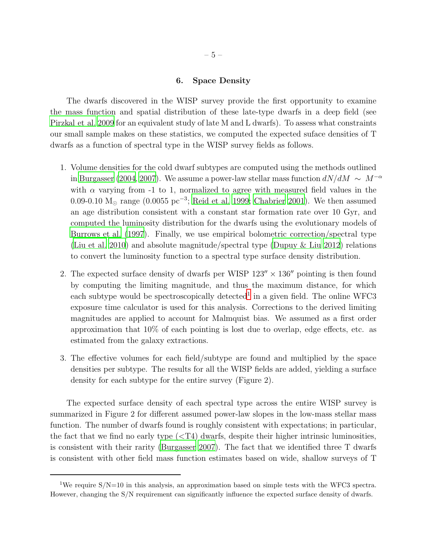# 6. Space Density

The dwarfs discovered in the WISP survey provide the first opportunity to examine the mass function and spatial distribution of these late-type dwarfs in a deep field (see [Pirzkal et al. 2009](#page-8-14) for an equivalent study of late M and L dwarfs). To assess what constraints our small sample makes on these statistics, we computed the expected suface densities of T dwarfs as a function of spectral type in the WISP survey fields as follows.

- 1. Volume densities for the cold dwarf subtypes are computed using the methods outlined in [Burgasser \(2004](#page-7-5), [2007\)](#page-7-6). We assume a power-law stellar mass function  $dN/dM \sim M^{-\alpha}$ with  $\alpha$  varying from -1 to 1, normalized to agree with measured field values in the 0.09-0.10  $M_{\odot}$  range (0.0055 pc<sup>-3</sup>; [Reid et al. 1999](#page-8-15); [Chabrier 2001\)](#page-8-16). We then assumed an age distribution consistent with a constant star formation rate over 10 Gyr, and computed the luminosity distribution for the dwarfs using the evolutionary models of [Burrows et al. \(1997\)](#page-7-7). Finally, we use empirical bolometric correction/spectral type [\(Liu et al. 2010](#page-8-17)) and absolute magnitude/spectral type [\(Dupuy & Liu 2012\)](#page-8-13) relations to convert the luminosity function to a spectral type surface density distribution.
- 2. The expected surface density of dwarfs per WISP  $123'' \times 136''$  pointing is then found by computing the limiting magnitude, and thus the maximum distance, for which each subtype would be spectroscopically detected<sup>[1](#page-9-4)</sup> in a given field. The online WFC3 exposure time calculator is used for this analysis. Corrections to the derived limiting magnitudes are applied to account for Malmquist bias. We assumed as a first order approximation that 10% of each pointing is lost due to overlap, edge effects, etc. as estimated from the galaxy extractions.
- 3. The effective volumes for each field/subtype are found and multiplied by the space densities per subtype. The results for all the WISP fields are added, yielding a surface density for each subtype for the entire survey (Figure 2).

The expected surface density of each spectral type across the entire WISP survey is summarized in Figure 2 for different assumed power-law slopes in the low-mass stellar mass function. The number of dwarfs found is roughly consistent with expectations; in particular, the fact that we find no early type  $\left( \langle \nabla \cdot \mathbf{T} \cdot \mathbf{A} \rangle \right)$  dwarfs, despite their higher intrinsic luminosities, is consistent with their rarity [\(Burgasser 2007\)](#page-7-6). The fact that we identified three T dwarfs is consistent with other field mass function estimates based on wide, shallow surveys of T

<sup>&</sup>lt;sup>1</sup>We require  $S/N=10$  in this analysis, an approximation based on simple tests with the WFC3 spectra. However, changing the S/N requirement can significantly influence the expected surface density of dwarfs.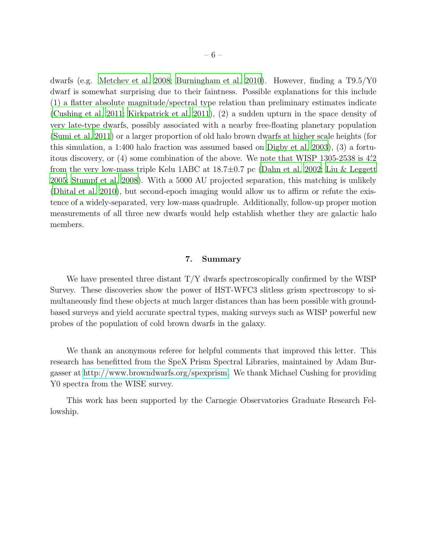dwarfs (e.g. [Metchev et al. 2008](#page-8-18); [Burningham et al. 2010\)](#page-7-1). However, finding a T9.5/Y0 dwarf is somewhat surprising due to their faintness. Possible explanations for this include (1) a flatter absolute magnitude/spectral type relation than preliminary estimates indicate [\(Cushing et al. 2011](#page-8-2); [Kirkpatrick et al. 2011\)](#page-8-8), (2) a sudden upturn in the space density of very late-type dwarfs, possibly associated with a nearby free-floating planetary population [\(Sumi et al. 2011\)](#page-9-5) or a larger proportion of old halo brown dwarfs at higher scale heights (for this simulation, a 1:400 halo fraction was assumed based on [Digby et al.](#page-8-19) [2003\)](#page-8-19), (3) a fortuitous discovery, or (4) some combination of the above. We note that WISP 1305-2538 is 4.2 from the very low-mass triple Kelu 1ABC at 18.7±0.7 pc [\(Dahn et al. 2002](#page-8-20); [Liu & Leggett](#page-8-21) [2005;](#page-8-21) [Stumpf et al. 2008\)](#page-9-6). With a 5000 AU projected separation, this matching is unlikely [\(Dhital et al. 2010\)](#page-8-22), but second-epoch imaging would allow us to affirm or refute the existence of a widely-separated, very low-mass quadruple. Additionally, follow-up proper motion measurements of all three new dwarfs would help establish whether they are galactic halo members.

#### 7. Summary

We have presented three distant T/Y dwarfs spectroscopically confirmed by the WISP Survey. These discoveries show the power of HST-WFC3 slitless grism spectroscopy to simultaneously find these objects at much larger distances than has been possible with groundbased surveys and yield accurate spectral types, making surveys such as WISP powerful new probes of the population of cold brown dwarfs in the galaxy.

We thank an anonymous referee for helpful comments that improved this letter. This research has benefitted from the SpeX Prism Spectral Libraries, maintained by Adam Burgasser at [http://www.browndwarfs.org/spexprism.](http://www.browndwarfs.org/spexprism) We thank Michael Cushing for providing Y0 spectra from the WISE survey.

This work has been supported by the Carnegie Observatories Graduate Research Fellowship.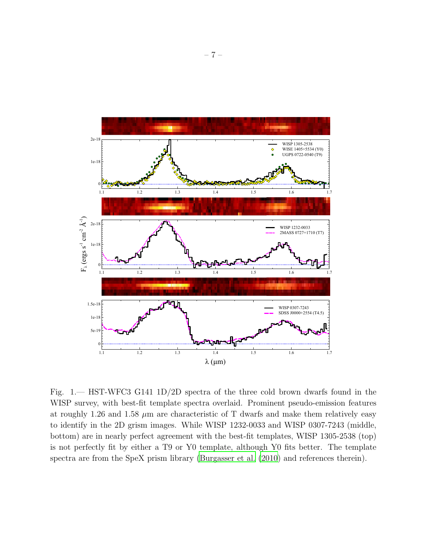

<span id="page-6-0"></span>Fig. 1.— HST-WFC3 G141 1D/2D spectra of the three cold brown dwarfs found in the WISP survey, with best-fit template spectra overlaid. Prominent pseudo-emission features at roughly 1.26 and 1.58  $\mu$ m are characteristic of T dwarfs and make them relatively easy to identify in the 2D grism images. While WISP 1232-0033 and WISP 0307-7243 (middle, bottom) are in nearly perfect agreement with the best-fit templates, WISP 1305-2538 (top) is not perfectly fit by either a T9 or Y0 template, although Y0 fits better. The template spectra are from the SpeX prism library [\(Burgasser et al. \(2010](#page-7-8)) and references therein).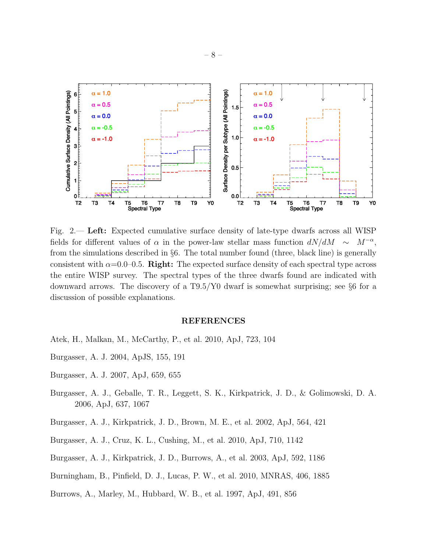

Fig. 2.— Left: Expected cumulative surface density of late-type dwarfs across all WISP fields for different values of  $\alpha$  in the power-law stellar mass function  $dN/dM \sim$  $M^{-\alpha}$ . from the simulations described in §6. The total number found (three, black line) is generally consistent with  $\alpha$ =0.0–0.5. Right: The expected surface density of each spectral type across the entire WISP survey. The spectral types of the three dwarfs found are indicated with downward arrows. The discovery of a T9.5/Y0 dwarf is somewhat surprising; see §6 for a discussion of possible explanations.

#### REFERENCES

- <span id="page-7-3"></span>Atek, H., Malkan, M., McCarthy, P., et al. 2010, ApJ, 723, 104
- <span id="page-7-5"></span>Burgasser, A. J. 2004, ApJS, 155, 191
- <span id="page-7-6"></span>Burgasser, A. J. 2007, ApJ, 659, 655
- <span id="page-7-4"></span>Burgasser, A. J., Geballe, T. R., Leggett, S. K., Kirkpatrick, J. D., & Golimowski, D. A. 2006, ApJ, 637, 1067
- <span id="page-7-0"></span>Burgasser, A. J., Kirkpatrick, J. D., Brown, M. E., et al. 2002, ApJ, 564, 421
- <span id="page-7-8"></span>Burgasser, A. J., Cruz, K. L., Cushing, M., et al. 2010, ApJ, 710, 1142
- <span id="page-7-2"></span>Burgasser, A. J., Kirkpatrick, J. D., Burrows, A., et al. 2003, ApJ, 592, 1186
- <span id="page-7-1"></span>Burningham, B., Pinfield, D. J., Lucas, P. W., et al. 2010, MNRAS, 406, 1885
- <span id="page-7-7"></span>Burrows, A., Marley, M., Hubbard, W. B., et al. 1997, ApJ, 491, 856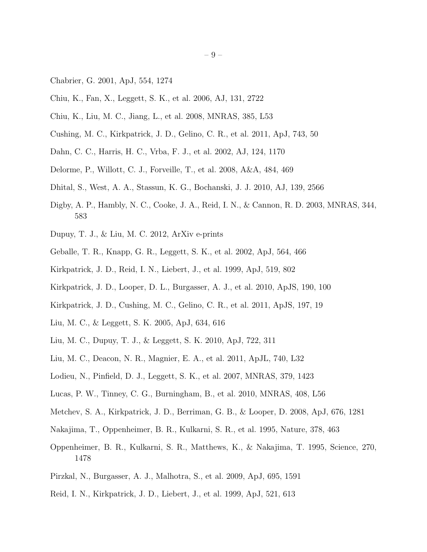- <span id="page-8-16"></span>Chabrier, G. 2001, ApJ, 554, 1274
- <span id="page-8-4"></span>Chiu, K., Fan, X., Leggett, S. K., et al. 2006, AJ, 131, 2722
- <span id="page-8-6"></span>Chiu, K., Liu, M. C., Jiang, L., et al. 2008, MNRAS, 385, L53
- <span id="page-8-2"></span>Cushing, M. C., Kirkpatrick, J. D., Gelino, C. R., et al. 2011, ApJ, 743, 50
- <span id="page-8-20"></span>Dahn, C. C., Harris, H. C., Vrba, F. J., et al. 2002, AJ, 124, 1170
- <span id="page-8-7"></span>Delorme, P., Willott, C. J., Forveille, T., et al. 2008, A&A, 484, 469
- <span id="page-8-22"></span>Dhital, S., West, A. A., Stassun, K. G., Bochanski, J. J. 2010, AJ, 139, 2566
- <span id="page-8-19"></span>Digby, A. P., Hambly, N. C., Cooke, J. A., Reid, I. N., & Cannon, R. D. 2003, MNRAS, 344, 583
- <span id="page-8-13"></span>Dupuy, T. J., & Liu, M. C. 2012, ArXiv e-prints
- <span id="page-8-12"></span>Geballe, T. R., Knapp, G. R., Leggett, S. K., et al. 2002, ApJ, 564, 466
- <span id="page-8-3"></span>Kirkpatrick, J. D., Reid, I. N., Liebert, J., et al. 1999, ApJ, 519, 802
- <span id="page-8-9"></span>Kirkpatrick, J. D., Looper, D. L., Burgasser, A. J., et al. 2010, ApJS, 190, 100
- <span id="page-8-8"></span>Kirkpatrick, J. D., Cushing, M. C., Gelino, C. R., et al. 2011, ApJS, 197, 19
- <span id="page-8-21"></span>Liu, M. C., & Leggett, S. K. 2005, ApJ, 634, 616
- <span id="page-8-17"></span>Liu, M. C., Dupuy, T. J., & Leggett, S. K. 2010, ApJ, 722, 311
- <span id="page-8-11"></span>Liu, M. C., Deacon, N. R., Magnier, E. A., et al. 2011, ApJL, 740, L32
- <span id="page-8-5"></span>Lodieu, N., Pinfield, D. J., Leggett, S. K., et al. 2007, MNRAS, 379, 1423
- <span id="page-8-10"></span>Lucas, P. W., Tinney, C. G., Burningham, B., et al. 2010, MNRAS, 408, L56
- <span id="page-8-18"></span>Metchev, S. A., Kirkpatrick, J. D., Berriman, G. B., & Looper, D. 2008, ApJ, 676, 1281
- <span id="page-8-0"></span>Nakajima, T., Oppenheimer, B. R., Kulkarni, S. R., et al. 1995, Nature, 378, 463
- <span id="page-8-1"></span>Oppenheimer, B. R., Kulkarni, S. R., Matthews, K., & Nakajima, T. 1995, Science, 270, 1478
- <span id="page-8-14"></span>Pirzkal, N., Burgasser, A. J., Malhotra, S., et al. 2009, ApJ, 695, 1591
- <span id="page-8-15"></span>Reid, I. N., Kirkpatrick, J. D., Liebert, J., et al. 1999, ApJ, 521, 613